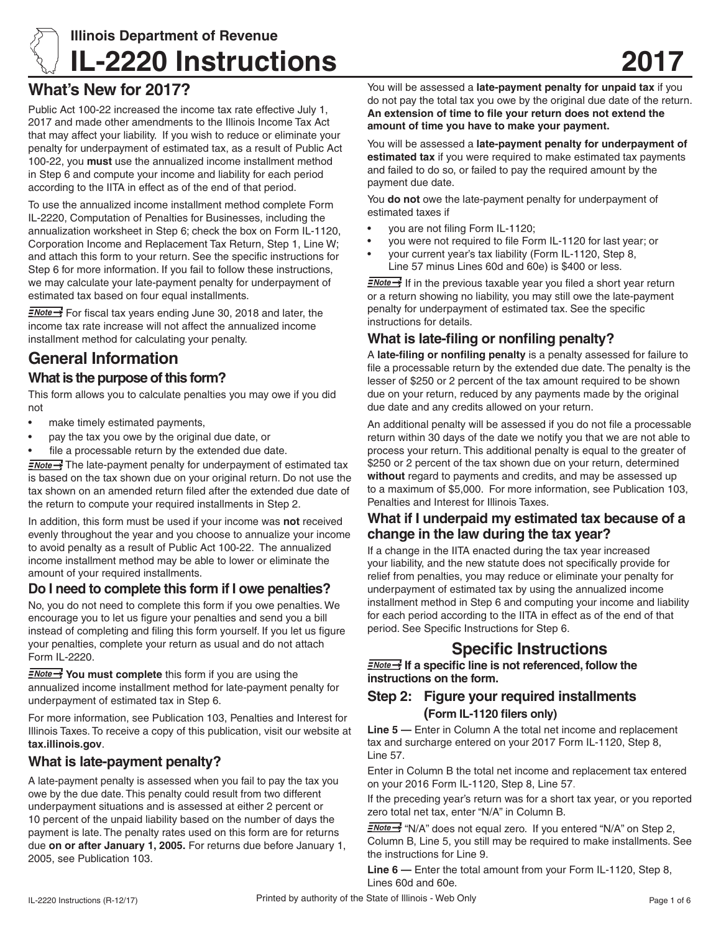

# **Illinois Department of Revenue IL-2220 Instructions**

## **What's New for 2017?**

Public Act 100-22 increased the income tax rate effective July 1, 2017 and made other amendments to the Illinois Income Tax Act that may affect your liability. If you wish to reduce or eliminate your penalty for underpayment of estimated tax, as a result of Public Act 100-22, you **must** use the annualized income installment method in Step 6 and compute your income and liability for each period according to the IITA in effect as of the end of that period.

To use the annualized income installment method complete Form IL-2220, Computation of Penalties for Businesses, including the annualization worksheet in Step 6; check the box on Form IL-1120, Corporation Income and Replacement Tax Return, Step 1, Line W; and attach this form to your return. See the specific instructions for Step 6 for more information. If you fail to follow these instructions, we may calculate your late-payment penalty for underpayment of estimated tax based on four equal installments.

 $\frac{7}{2}$  For fiscal tax years ending June 30, 2018 and later, the income tax rate increase will not affect the annualized income installment method for calculating your penalty.

## **General Information**

### **What is the purpose of this form?**

This form allows you to calculate penalties you may owe if you did not

- make timely estimated payments.
- pay the tax you owe by the original due date, or
- file a processable return by the extended due date.

 $\frac{1}{2}$  The late-payment penalty for underpayment of estimated tax is based on the tax shown due on your original return. Do not use the tax shown on an amended return filed after the extended due date of the return to compute your required installments in Step 2.

In addition, this form must be used if your income was **not** received evenly throughout the year and you choose to annualize your income to avoid penalty as a result of Public Act 100-22. The annualized income installment method may be able to lower or eliminate the amount of your required installments.

### **Do I need to complete this form if I owe penalties?**

No, you do not need to complete this form if you owe penalties. We encourage you to let us figure your penalties and send you a bill instead of completing and filing this form yourself. If you let us figure your penalties, complete your return as usual and do not attach Form IL-2220.

**FNote >>>** You must complete this form if you are using the annualized income installment method for late-payment penalty for underpayment of estimated tax in Step 6.

For more information, see Publication 103, Penalties and Interest for Illinois Taxes. To receive a copy of this publication, visit our website at **tax.illinois.gov**.

### **What is late-payment penalty?**

A late-payment penalty is assessed when you fail to pay the tax you owe by the due date. This penalty could result from two different underpayment situations and is assessed at either 2 percent or 10 percent of the unpaid liability based on the number of days the payment is late. The penalty rates used on this form are for returns due **on or after January 1, 2005.** For returns due before January 1, 2005, see Publication 103.

You will be assessed a **late-payment penalty for unpaid tax** if you do not pay the total tax you owe by the original due date of the return. **An extension of time to file your return does not extend the amount of time you have to make your payment.**

You will be assessed a **late-payment penalty for underpayment of estimated tax** if you were required to make estimated tax payments and failed to do so, or failed to pay the required amount by the payment due date.

You **do not** owe the late-payment penalty for underpayment of estimated taxes if

- you are not filing Form IL-1120;
- you were not required to file Form IL-1120 for last year; or
- your current year's tax liability (Form IL-1120, Step 8, Line 57 minus Lines 60d and 60e) is \$400 or less.

 $\equiv$ Note  $\rightarrow$  If in the previous taxable year you filed a short year return or a return showing no liability, you may still owe the late-payment penalty for underpayment of estimated tax. See the specific instructions for details.

## **What is late-filing or nonfiling penalty?**

A **late-filing or nonfiling penalty** is a penalty assessed for failure to file a processable return by the extended due date. The penalty is the lesser of \$250 or 2 percent of the tax amount required to be shown due on your return, reduced by any payments made by the original due date and any credits allowed on your return.

An additional penalty will be assessed if you do not file a processable return within 30 days of the date we notify you that we are not able to process your return. This additional penalty is equal to the greater of \$250 or 2 percent of the tax shown due on your return, determined **without** regard to payments and credits, and may be assessed up to a maximum of \$5,000. For more information, see Publication 103, Penalties and Interest for Illinois Taxes.

### **What if I underpaid my estimated tax because of a change in the law during the tax year?**

If a change in the IITA enacted during the tax year increased your liability, and the new statute does not specifically provide for relief from penalties, you may reduce or eliminate your penalty for underpayment of estimated tax by using the annualized income installment method in Step 6 and computing your income and liability for each period according to the IITA in effect as of the end of that period. See Specific Instructions for Step 6.

## **Specific Instructions**

**I** *I* a specific line is not referenced, follow the **instructions on the form.**

#### **Step 2: Figure your required installments (Form IL-1120 filers only)**

**Line 5 —** Enter in Column A the total net income and replacement tax and surcharge entered on your 2017 Form IL-1120, Step 8, Line 57.

Enter in Column B the total net income and replacement tax entered on your 2016 Form IL-1120, Step 8, Line 57.

If the preceding year's return was for a short tax year, or you reported zero total net tax, enter "N/A" in Column B.

ENote<sup>-></sup> "N/A" does not equal zero. If you entered "N/A" on Step 2, Column B, Line 5, you still may be required to make installments. See the instructions for Line 9.

**Line 6 —** Enter the total amount from your Form IL-1120, Step 8, Lines 60d and 60e.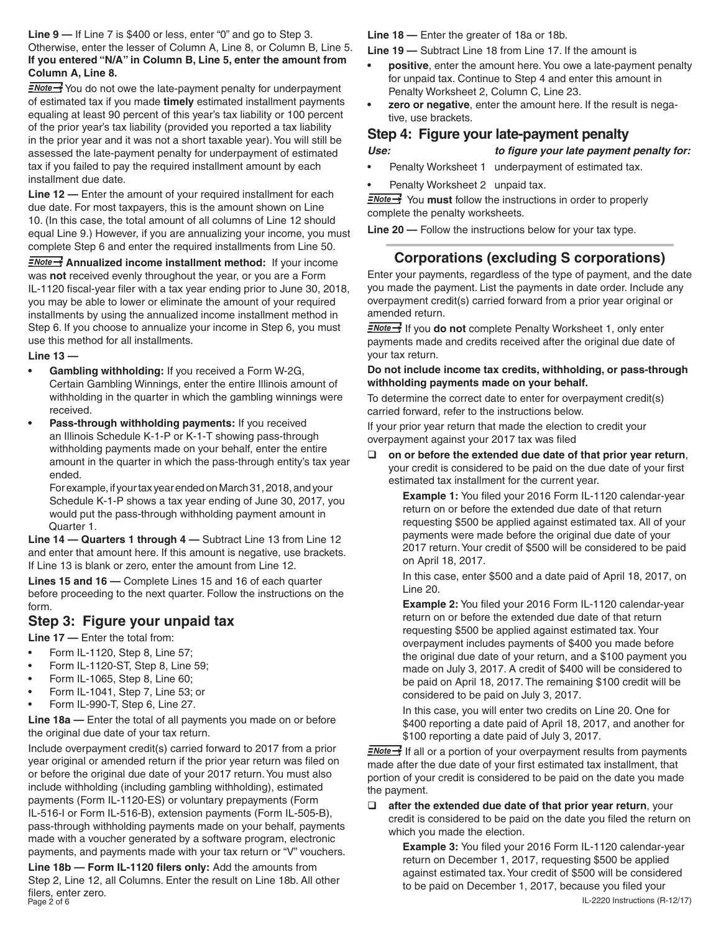**Line 9 —** If Line 7 is \$400 or less, enter "0" and go to Step 3. Otherwise, enter the lesser of Column A, Line 8, or Column B, Line 5. **If you entered "N/A" in Column B, Line 5, enter the amount from Column A, Line 8.**

**ENote** You do not owe the late-payment penalty for underpayment of estimated tax if you made **timely** estimated installment payments equaling at least 90 percent of this year's tax liability or 100 percent of the prior year's tax liability (provided you reported a tax liability in the prior year and it was not a short taxable year). You will still be assessed the late-payment penalty for underpayment of estimated tax if you failed to pay the required installment amount by each installment due date.

**Line 12 —** Enter the amount of your required installment for each due date. For most taxpayers, this is the amount shown on Line 10. (In this case, the total amount of all columns of Line 12 should equal Line 9.) However, if you are annualizing your income, you must complete Step 6 and enter the required installments from Line 50.

**ENote >>** Annualized income installment method: If your income was **not** received evenly throughout the year, or you are a Form IL-1120 fiscal-year filer with a tax year ending prior to June 30, 2018, you may be able to lower or eliminate the amount of your required installments by using the annualized income installment method in Step 6. If you choose to annualize your income in Step 6, you must use this method for all installments.

**Line 13 —** 

- **Gambling withholding:** If you received a Form W-2G, Certain Gambling Winnings, enter the entire Illinois amount of withholding in the quarter in which the gambling winnings were received.
- **Pass-through withholding payments:** If you received an Illinois Schedule K-1-P or K-1-T showing pass-through withholding payments made on your behalf, enter the entire amount in the quarter in which the pass-through entity's tax year ended.

 For example, if your tax year ended on March 31, 2018, and your Schedule K-1-P shows a tax year ending of June 30, 2017, you would put the pass-through withholding payment amount in Quarter 1.

**Line 14 — Quarters 1 through 4 —** Subtract Line 13 from Line 12 and enter that amount here. If this amount is negative, use brackets. If Line 13 is blank or zero, enter the amount from Line 12.

**Lines 15 and 16 —** Complete Lines 15 and 16 of each quarter before proceeding to the next quarter. Follow the instructions on the form.

### **Step 3: Figure your unpaid tax**

**Line 17 —** Enter the total from:

- Form IL-1120, Step 8, Line 57:
- Form IL-1120-ST, Step 8, Line 59;
- Form IL-1065, Step 8, Line 60;
- Form IL-1041, Step 7, Line 53; or
- Form IL-990-T, Step 6, Line 27.

**Line 18a —** Enter the total of all payments you made on or before the original due date of your tax return.

Include overpayment credit(s) carried forward to 2017 from a prior year original or amended return if the prior year return was filed on or before the original due date of your 2017 return. You must also include withholding (including gambling withholding), estimated payments (Form IL-1120-ES) or voluntary prepayments (Form IL-516-I or Form IL-516-B), extension payments (Form IL-505-B), pass-through withholding payments made on your behalf, payments made with a voucher generated by a software program, electronic payments, and payments made with your tax return or "V" vouchers.

nci del 2010.<br>Page 2 of 6 IL-2220 Instructions (R-12/17) **Line 18b — Form IL-1120 filers only:** Add the amounts from Step 2, Line 12, all Columns. Enter the result on Line 18b. All other filers, enter zero.

**Line 18 —** Enter the greater of 18a or 18b.

**Line 19 —** Subtract Line 18 from Line 17. If the amount is

- **positive**, enter the amount here. You owe a late-payment penalty for unpaid tax. Continue to Step 4 and enter this amount in Penalty Worksheet 2, Column C, Line 23.
- **zero or negative**, enter the amount here. If the result is negative, use brackets.

#### **Step 4: Figure your late-payment penalty**

*Use: to figure your late payment penalty for:*

- Penalty Worksheet 1 underpayment of estimated tax.
- Penalty Worksheet 2 unpaid tax.

**ENote You must** follow the instructions in order to properly complete the penalty worksheets.

**Line 20 —** Follow the instructions below for your tax type.

## **Corporations (excluding S corporations)**

Enter your payments, regardless of the type of payment, and the date you made the payment. List the payments in date order. Include any overpayment credit(s) carried forward from a prior year original or amended return.

**ENote** If you **do not** complete Penalty Worksheet 1, only enter payments made and credits received after the original due date of your tax return.

#### **Do not include income tax credits, withholding, or pass-through withholding payments made on your behalf.**

To determine the correct date to enter for overpayment credit(s) carried forward, refer to the instructions below.

If your prior year return that made the election to credit your overpayment against your 2017 tax was filed

 **on or before the extended due date of that prior year return**, your credit is considered to be paid on the due date of your first estimated tax installment for the current year.

> **Example 1:** You filed your 2016 Form IL-1120 calendar-year return on or before the extended due date of that return requesting \$500 be applied against estimated tax. All of your payments were made before the original due date of your 2017 return. Your credit of \$500 will be considered to be paid on April 18, 2017.

> In this case, enter \$500 and a date paid of April 18, 2017, on Line 20.

> **Example 2:** You filed your 2016 Form IL-1120 calendar-year return on or before the extended due date of that return requesting \$500 be applied against estimated tax. Your overpayment includes payments of \$400 you made before the original due date of your return, and a \$100 payment you made on July 3, 2017. A credit of \$400 will be considered to be paid on April 18, 2017. The remaining \$100 credit will be considered to be paid on July 3, 2017.

> In this case, you will enter two credits on Line 20. One for \$400 reporting a date paid of April 18, 2017, and another for \$100 reporting a date paid of July 3, 2017.

 $\frac{2\text{Note}}{2}$  If all or a portion of your overpayment results from payments made after the due date of your first estimated tax installment, that portion of your credit is considered to be paid on the date you made the payment.

 $\Box$  after the extended due date of that prior year return, your credit is considered to be paid on the date you filed the return on which you made the election.

> **Example 3:** You filed your 2016 Form IL-1120 calendar-year return on December 1, 2017, requesting \$500 be applied against estimated tax. Your credit of \$500 will be considered to be paid on December 1, 2017, because you filed your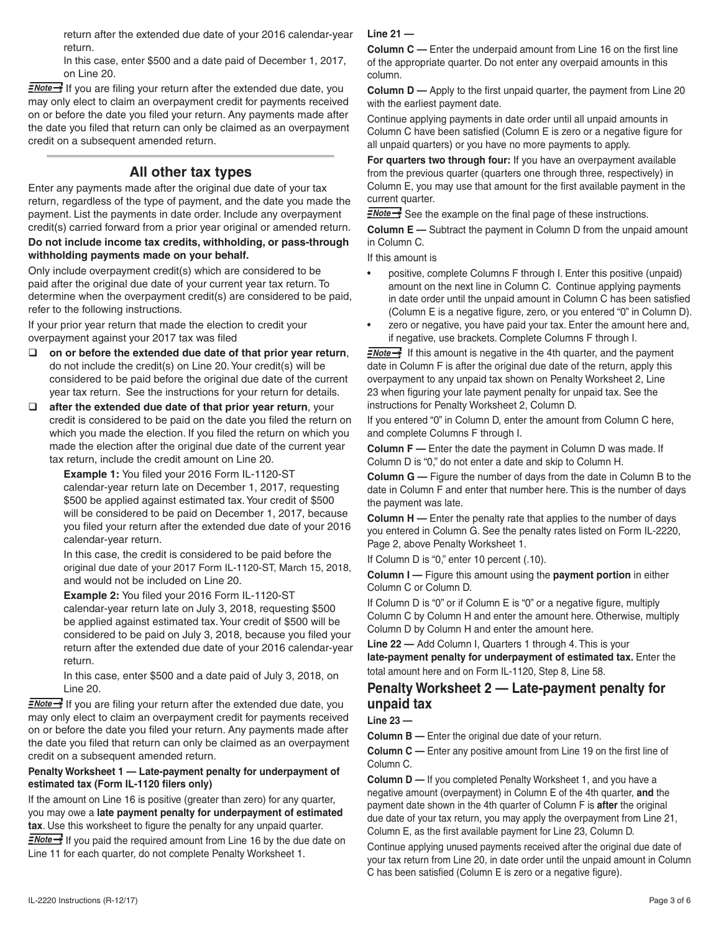return after the extended due date of your 2016 calendar-year return.

In this case, enter \$500 and a date paid of December 1, 2017, on Line 20.

 $\frac{1}{2}$  If you are filing your return after the extended due date, you may only elect to claim an overpayment credit for payments received on or before the date you filed your return. Any payments made after the date you filed that return can only be claimed as an overpayment credit on a subsequent amended return.

### **All other tax types**

Enter any payments made after the original due date of your tax return, regardless of the type of payment, and the date you made the payment. List the payments in date order. Include any overpayment credit(s) carried forward from a prior year original or amended return.

#### **Do not include income tax credits, withholding, or pass-through withholding payments made on your behalf.**

Only include overpayment credit(s) which are considered to be paid after the original due date of your current year tax return. To determine when the overpayment credit(s) are considered to be paid, refer to the following instructions.

If your prior year return that made the election to credit your overpayment against your 2017 tax was filed

- **on or before the extended due date of that prior year return**, do not include the credit(s) on Line 20. Your credit(s) will be considered to be paid before the original due date of the current year tax return. See the instructions for your return for details.
- **after the extended due date of that prior year return**, your credit is considered to be paid on the date you filed the return on which you made the election. If you filed the return on which you made the election after the original due date of the current year tax return, include the credit amount on Line 20.

**Example 1:** You filed your 2016 Form IL-1120-ST calendar-year return late on December 1, 2017, requesting \$500 be applied against estimated tax. Your credit of \$500 will be considered to be paid on December 1, 2017, because you filed your return after the extended due date of your 2016 calendar-year return.

In this case, the credit is considered to be paid before the original due date of your 2017 Form IL-1120-ST, March 15, 2018, and would not be included on Line 20.

**Example 2:** You filed your 2016 Form IL-1120-ST calendar-year return late on July 3, 2018, requesting \$500 be applied against estimated tax. Your credit of \$500 will be considered to be paid on July 3, 2018, because you filed your return after the extended due date of your 2016 calendar-year return.

In this case, enter \$500 and a date paid of July 3, 2018, on Line 20.

 $\equiv$ Mote  $\rightarrow$  If you are filing your return after the extended due date, you may only elect to claim an overpayment credit for payments received on or before the date you filed your return. Any payments made after the date you filed that return can only be claimed as an overpayment credit on a subsequent amended return.

#### **Penalty Worksheet 1 — Late-payment penalty for underpayment of estimated tax (Form IL-1120 filers only)**

If the amount on Line 16 is positive (greater than zero) for any quarter, you may owe a **late payment penalty for underpayment of estimated tax**. Use this worksheet to figure the penalty for any unpaid quarter.

 $\frac{1}{2}$  If you paid the required amount from Line 16 by the due date on Line 11 for each quarter, do not complete Penalty Worksheet 1.

#### **Line 21 —**

**Column C —** Enter the underpaid amount from Line 16 on the first line of the appropriate quarter. Do not enter any overpaid amounts in this column.

**Column D —** Apply to the first unpaid quarter, the payment from Line 20 with the earliest payment date.

Continue applying payments in date order until all unpaid amounts in Column C have been satisfied (Column E is zero or a negative figure for all unpaid quarters) or you have no more payments to apply.

**For quarters two through four:** If you have an overpayment available from the previous quarter (quarters one through three, respectively) in Column E, you may use that amount for the first available payment in the current quarter.

 $\frac{1}{2}$  See the example on the final page of these instructions.

**Column E —** Subtract the payment in Column D from the unpaid amount in Column C.

If this amount is

- positive, complete Columns F through I. Enter this positive (unpaid) amount on the next line in Column C. Continue applying payments in date order until the unpaid amount in Column C has been satisfied (Column E is a negative figure, zero, or you entered "0" in Column D).
- zero or negative, you have paid your tax. Enter the amount here and, if negative, use brackets. Complete Columns F through I.

 $\equiv$ Note  $\rightarrow$  If this amount is negative in the 4th quarter, and the payment date in Column F is after the original due date of the return, apply this overpayment to any unpaid tax shown on Penalty Worksheet 2, Line 23 when figuring your late payment penalty for unpaid tax. See the instructions for Penalty Worksheet 2, Column D.

If you entered "0" in Column D, enter the amount from Column C here, and complete Columns F through I.

**Column F —** Enter the date the payment in Column D was made. If Column D is "0," do not enter a date and skip to Column H.

**Column G —** Figure the number of days from the date in Column B to the date in Column F and enter that number here. This is the number of days the payment was late.

**Column H —** Enter the penalty rate that applies to the number of days you entered in Column G. See the penalty rates listed on Form IL-2220, Page 2, above Penalty Worksheet 1.

If Column D is "0," enter 10 percent (.10).

**Column I —** Figure this amount using the **payment portion** in either Column C or Column D.

If Column D is "0" or if Column E is "0" or a negative figure, multiply Column C by Column H and enter the amount here. Otherwise, multiply Column D by Column H and enter the amount here.

**Line 22 —** Add Column I, Quarters 1 through 4. This is your **late-payment penalty for underpayment of estimated tax.** Enter the total amount here and on Form IL-1120, Step 8, Line 58.

#### **Penalty Worksheet 2 — Late-payment penalty for unpaid tax**

**Line 23 —**

**Column B —** Enter the original due date of your return.

**Column C —** Enter any positive amount from Line 19 on the first line of Column C.

**Column D —** If you completed Penalty Worksheet 1, and you have a negative amount (overpayment) in Column E of the 4th quarter, **and** the payment date shown in the 4th quarter of Column F is **after** the original due date of your tax return, you may apply the overpayment from Line 21, Column E, as the first available payment for Line 23, Column D.

Continue applying unused payments received after the original due date of your tax return from Line 20, in date order until the unpaid amount in Column C has been satisfied (Column E is zero or a negative figure).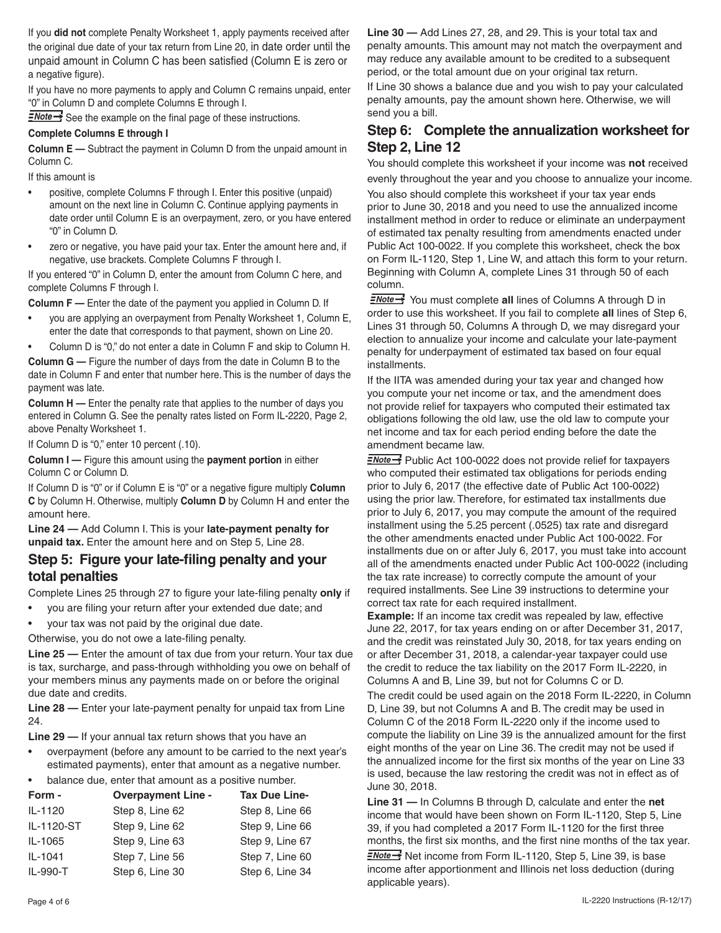If you **did not** complete Penalty Worksheet 1, apply payments received after the original due date of your tax return from Line 20, in date order until the unpaid amount in Column C has been satisfied (Column E is zero or a negative figure).

If you have no more payments to apply and Column C remains unpaid, enter "0" in Column D and complete Columns E through I.

**ENote**<sup>1</sup> See the example on the final page of these instructions.

#### **Complete Columns E through I**

**Column E —** Subtract the payment in Column D from the unpaid amount in Column C.

If this amount is

- positive, complete Columns F through I. Enter this positive (unpaid) amount on the next line in Column C. Continue applying payments in date order until Column E is an overpayment, zero, or you have entered "0" in Column D.
- zero or negative, you have paid your tax. Enter the amount here and, if negative, use brackets. Complete Columns F through I.

If you entered "0" in Column D, enter the amount from Column C here, and complete Columns F through I.

**Column F —** Enter the date of the payment you applied in Column D. If

- you are applying an overpayment from Penalty Worksheet 1, Column E, enter the date that corresponds to that payment, shown on Line 20.
- Column D is "0," do not enter a date in Column F and skip to Column H.

**Column G —** Figure the number of days from the date in Column B to the

date in Column F and enter that number here. This is the number of days the payment was late.

**Column H** — Enter the penalty rate that applies to the number of days you entered in Column G. See the penalty rates listed on Form IL-2220, Page 2, above Penalty Worksheet 1.

If Column D is "0," enter 10 percent (.10).

**Column I —** Figure this amount using the **payment portion** in either Column C or Column D.

If Column D is "0" or if Column E is "0" or a negative figure multiply **Column C** by Column H. Otherwise, multiply **Column D** by Column H and enter the amount here.

**Line 24 —** Add Column I. This is your **late-payment penalty for unpaid tax.** Enter the amount here and on Step 5, Line 28.

#### **Step 5: Figure your late-filing penalty and your total penalties**

Complete Lines 25 through 27 to figure your late-filing penalty **only** if

- you are filing your return after your extended due date; and
- your tax was not paid by the original due date.

Otherwise, you do not owe a late-filing penalty.

**Line 25 —** Enter the amount of tax due from your return. Your tax due is tax, surcharge, and pass-through withholding you owe on behalf of your members minus any payments made on or before the original due date and credits.

**Line 28 —** Enter your late-payment penalty for unpaid tax from Line 24.

**Line 29 —** If your annual tax return shows that you have an

overpayment (before any amount to be carried to the next year's estimated payments), enter that amount as a negative number.

balance due, enter that amount as a positive number.

| Form -     | <b>Overpayment Line -</b> | <b>Tax Due Line-</b> |  |  |  |
|------------|---------------------------|----------------------|--|--|--|
| IL-1120    | Step 8, Line 62           | Step 8, Line 66      |  |  |  |
| IL-1120-ST | Step 9, Line 62           | Step 9, Line 66      |  |  |  |
| IL-1065    | Step 9, Line 63           | Step 9, Line 67      |  |  |  |
| IL-1041    | Step 7, Line 56           | Step 7, Line 60      |  |  |  |
| IL-990-T   | Step 6, Line 30           | Step 6, Line 34      |  |  |  |

**Line 30 —** Add Lines 27, 28, and 29. This is your total tax and penalty amounts. This amount may not match the overpayment and may reduce any available amount to be credited to a subsequent period, or the total amount due on your original tax return.

If Line 30 shows a balance due and you wish to pay your calculated penalty amounts, pay the amount shown here. Otherwise, we will send you a bill.

### **Step 6: Complete the annualization worksheet for Step 2, Line 12**

You should complete this worksheet if your income was **not** received

evenly throughout the year and you choose to annualize your income. You also should complete this worksheet if your tax year ends prior to June 30, 2018 and you need to use the annualized income installment method in order to reduce or eliminate an underpayment of estimated tax penalty resulting from amendments enacted under Public Act 100-0022. If you complete this worksheet, check the box on Form IL-1120, Step 1, Line W, and attach this form to your return. Beginning with Column A, complete Lines 31 through 50 of each column.

**ENote** You must complete all lines of Columns A through D in order to use this worksheet. If you fail to complete **all** lines of Step 6, Lines 31 through 50, Columns A through D, we may disregard your election to annualize your income and calculate your late-payment penalty for underpayment of estimated tax based on four equal installments.

If the IITA was amended during your tax year and changed how you compute your net income or tax, and the amendment does not provide relief for taxpayers who computed their estimated tax obligations following the old law, use the old law to compute your net income and tax for each period ending before the date the amendment became law.

 $\frac{1}{2}$  Public Act 100-0022 does not provide relief for taxpayers who computed their estimated tax obligations for periods ending prior to July 6, 2017 (the effective date of Public Act 100-0022) using the prior law. Therefore, for estimated tax installments due prior to July 6, 2017, you may compute the amount of the required installment using the 5.25 percent (.0525) tax rate and disregard the other amendments enacted under Public Act 100-0022. For installments due on or after July 6, 2017, you must take into account all of the amendments enacted under Public Act 100-0022 (including the tax rate increase) to correctly compute the amount of your required installments. See Line 39 instructions to determine your correct tax rate for each required installment.

**Example:** If an income tax credit was repealed by law, effective June 22, 2017, for tax years ending on or after December 31, 2017, and the credit was reinstated July 30, 2018, for tax years ending on or after December 31, 2018, a calendar-year taxpayer could use the credit to reduce the tax liability on the 2017 Form IL-2220, in Columns A and B, Line 39, but not for Columns C or D.

The credit could be used again on the 2018 Form IL-2220, in Column D, Line 39, but not Columns A and B. The credit may be used in Column C of the 2018 Form IL-2220 only if the income used to compute the liability on Line 39 is the annualized amount for the first eight months of the year on Line 36. The credit may not be used if the annualized income for the first six months of the year on Line 33 is used, because the law restoring the credit was not in effect as of June 30, 2018.

**Line 31 —** In Columns B through D, calculate and enter the **net** income that would have been shown on Form IL-1120, Step 5, Line 39, if you had completed a 2017 Form IL-1120 for the first three months, the first six months, and the first nine months of the tax year.  $\frac{2}{5}$  Net income from Form IL-1120, Step 5, Line 39, is base income after apportionment and Illinois net loss deduction (during applicable years).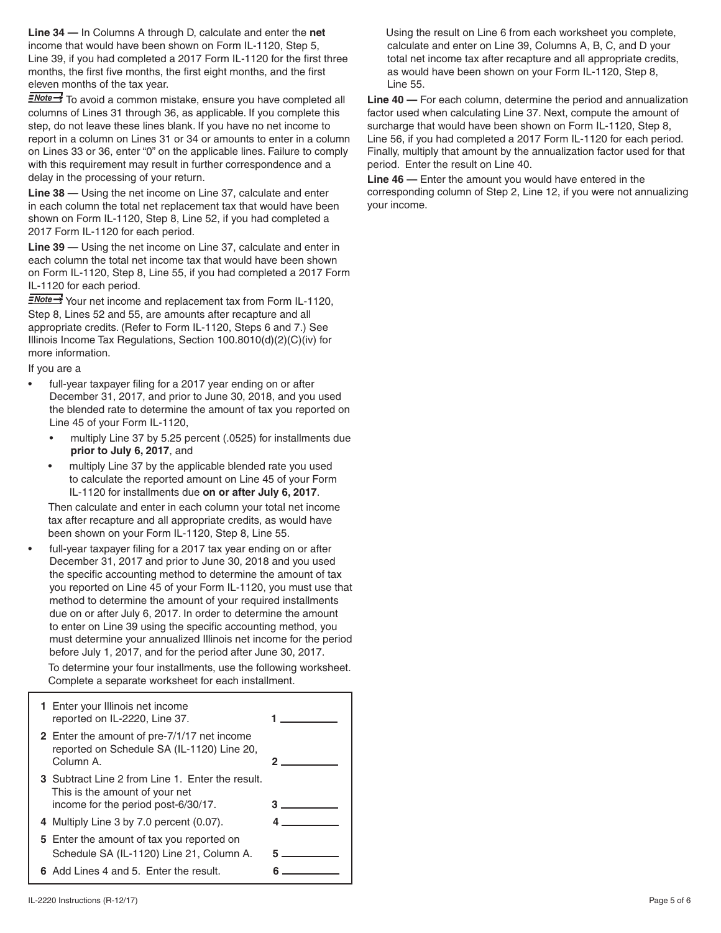**Line 34 —** In Columns A through D, calculate and enter the **net** income that would have been shown on Form IL-1120, Step 5, Line 39, if you had completed a 2017 Form IL-1120 for the first three months, the first five months, the first eight months, and the first eleven months of the tax year.

 $\frac{2\text{Note}}{2}$  To avoid a common mistake, ensure you have completed all columns of Lines 31 through 36, as applicable. If you complete this step, do not leave these lines blank. If you have no net income to report in a column on Lines 31 or 34 or amounts to enter in a column on Lines 33 or 36, enter "0" on the applicable lines. Failure to comply with this requirement may result in further correspondence and a delay in the processing of your return.

**Line 38 —** Using the net income on Line 37, calculate and enter in each column the total net replacement tax that would have been shown on Form IL-1120, Step 8, Line 52, if you had completed a 2017 Form IL-1120 for each period.

**Line 39 —** Using the net income on Line 37, calculate and enter in each column the total net income tax that would have been shown on Form IL-1120, Step 8, Line 55, if you had completed a 2017 Form IL-1120 for each period.

 $\frac{2\text{Note} \rightarrow \text{You}}{2}$  Your net income and replacement tax from Form IL-1120, Step 8, Lines 52 and 55, are amounts after recapture and all appropriate credits. (Refer to Form IL-1120, Steps 6 and 7.) See Illinois Income Tax Regulations, Section 100.8010(d)(2)(C)(iv) for more information.

If you are a

- full-year taxpayer filing for a 2017 year ending on or after December 31, 2017, and prior to June 30, 2018, and you used the blended rate to determine the amount of tax you reported on Line 45 of your Form IL-1120,
	- multiply Line 37 by 5.25 percent (.0525) for installments due **prior to July 6, 2017**, and
	- multiply Line 37 by the applicable blended rate you used to calculate the reported amount on Line 45 of your Form IL-1120 for installments due **on or after July 6, 2017**.

Then calculate and enter in each column your total net income tax after recapture and all appropriate credits, as would have been shown on your Form IL-1120, Step 8, Line 55.

full-year taxpayer filing for a 2017 tax year ending on or after December 31, 2017 and prior to June 30, 2018 and you used the specific accounting method to determine the amount of tax you reported on Line 45 of your Form IL-1120, you must use that method to determine the amount of your required installments due on or after July 6, 2017. In order to determine the amount to enter on Line 39 using the specific accounting method, you must determine your annualized Illinois net income for the period before July 1, 2017, and for the period after June 30, 2017. To determine your four installments, use the following worksheet.

| Complete a separate worksheet for each installment. |  |
|-----------------------------------------------------|--|

| 1 Enter your Illinois net income<br>reported on IL-2220, Line 37.                                                         |  |
|---------------------------------------------------------------------------------------------------------------------------|--|
| 2 Enter the amount of pre-7/1/17 net income<br>reported on Schedule SA (IL-1120) Line 20,<br>Column A.                    |  |
| 3 Subtract Line 2 from Line 1. Enter the result.<br>This is the amount of your net<br>income for the period post-6/30/17. |  |
| 4 Multiply Line 3 by 7.0 percent (0.07).                                                                                  |  |
| 5 Enter the amount of tax you reported on<br>Schedule SA (IL-1120) Line 21, Column A.                                     |  |
| 6 Add Lines 4 and 5. Enter the result.                                                                                    |  |

Using the result on Line 6 from each worksheet you complete, calculate and enter on Line 39, Columns A, B, C, and D your total net income tax after recapture and all appropriate credits, as would have been shown on your Form IL-1120, Step 8, Line 55.

**Line 40 —** For each column, determine the period and annualization factor used when calculating Line 37. Next, compute the amount of surcharge that would have been shown on Form IL-1120, Step 8, Line 56, if you had completed a 2017 Form IL-1120 for each period. Finally, multiply that amount by the annualization factor used for that period. Enter the result on Line 40.

**Line 46 —** Enter the amount you would have entered in the corresponding column of Step 2, Line 12, if you were not annualizing your income.